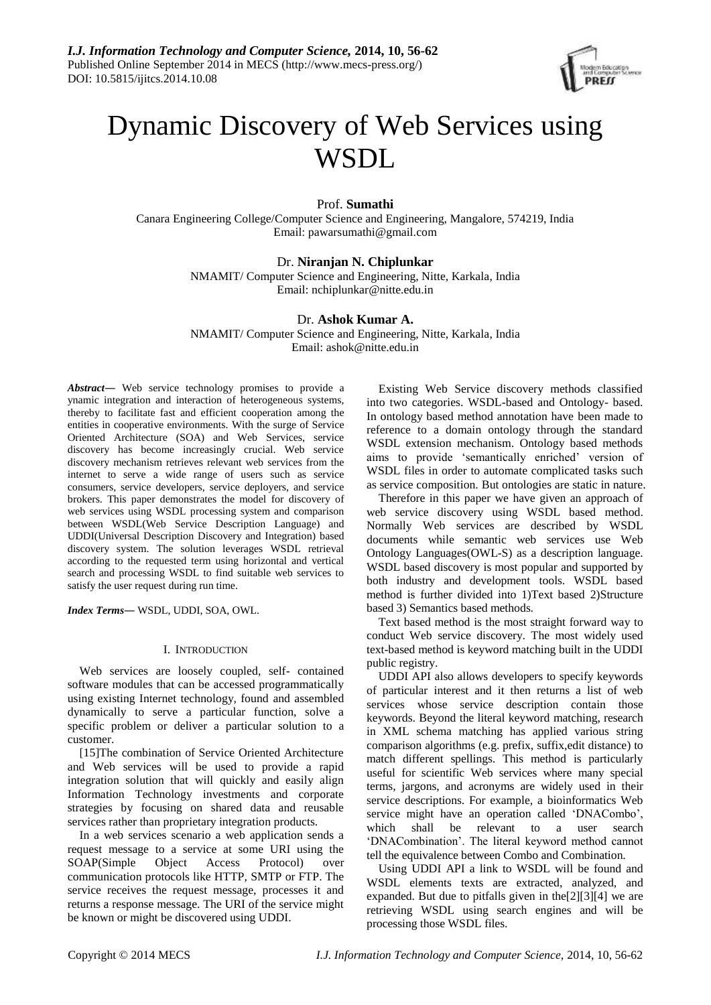

# Dynamic Discovery of Web Services using **WSDL**

# Prof. **Sumathi**

Canara Engineering College/Computer Science and Engineering, Mangalore, 574219, India Email: [pawarsumathi@gmail.com](mailto:pawarsumathi@gmail.com)

# Dr. **Niranjan N. Chiplunkar**

NMAMIT/ Computer Science and Engineering, Nitte, Karkala, India Email: nchiplunkar@nitte.edu.in

## Dr. **Ashok Kumar A.**

NMAMIT/ Computer Science and Engineering, Nitte, Karkala, India Email: ashok@nitte.edu.in

*Abstract―* Web service technology promises to provide a ynamic integration and interaction of heterogeneous systems, thereby to facilitate fast and efficient cooperation among the entities in cooperative environments. With the surge of Service Oriented Architecture (SOA) and Web Services, service discovery has become increasingly crucial. Web service discovery mechanism retrieves relevant web services from the internet to serve a wide range of users such as service consumers, service developers, service deployers, and service brokers. This paper demonstrates the model for discovery of web services using WSDL processing system and comparison between WSDL(Web Service Description Language) and UDDI(Universal Description Discovery and Integration) based discovery system. The solution leverages WSDL retrieval according to the requested term using horizontal and vertical search and processing WSDL to find suitable web services to satisfy the user request during run time.

*Index Terms―* WSDL, UDDI, SOA, OWL.

## I. INTRODUCTION

Web services are loosely coupled, self- contained software modules that can be accessed programmatically using existing Internet technology, found and assembled dynamically to serve a particular function, solve a specific problem or deliver a particular solution to a customer.

[15]The combination of Service Oriented Architecture and Web services will be used to provide a rapid integration solution that will quickly and easily align Information Technology investments and corporate strategies by focusing on shared data and reusable services rather than proprietary integration products.

In a web services scenario a web application sends a request message to a service at some URI using the SOAP(Simple Object Access Protocol) over communication protocols like HTTP, SMTP or FTP. The service receives the request message, processes it and returns a response message. The URI of the service might be known or might be discovered using UDDI.

Existing Web Service discovery methods classified into two categories. WSDL-based and Ontology- based. In ontology based method annotation have been made to reference to a domain ontology through the standard WSDL extension mechanism. Ontology based methods aims to provide 'semantically enriched' version of WSDL files in order to automate complicated tasks such as service composition. But ontologies are static in nature.

Therefore in this paper we have given an approach of web service discovery using WSDL based method. Normally Web services are described by WSDL documents while semantic web services use Web Ontology Languages(OWL-S) as a description language. WSDL based discovery is most popular and supported by both industry and development tools. WSDL based method is further divided into 1)Text based 2)Structure based 3) Semantics based methods.

Text based method is the most straight forward way to conduct Web service discovery. The most widely used text-based method is keyword matching built in the UDDI public registry.

UDDI API also allows developers to specify keywords of particular interest and it then returns a list of web services whose service description contain those keywords. Beyond the literal keyword matching, research in XML schema matching has applied various string comparison algorithms (e.g. prefix, suffix,edit distance) to match different spellings. This method is particularly useful for scientific Web services where many special terms, jargons, and acronyms are widely used in their service descriptions. For example, a bioinformatics Web service might have an operation called 'DNACombo', which shall be relevant to a user search 'DNACombination'. The literal keyword method cannot tell the equivalence between Combo and Combination.

Using UDDI API a link to WSDL will be found and WSDL elements texts are extracted, analyzed, and expanded. But due to pitfalls given in the[2][3][4] we are retrieving WSDL using search engines and will be processing those WSDL files.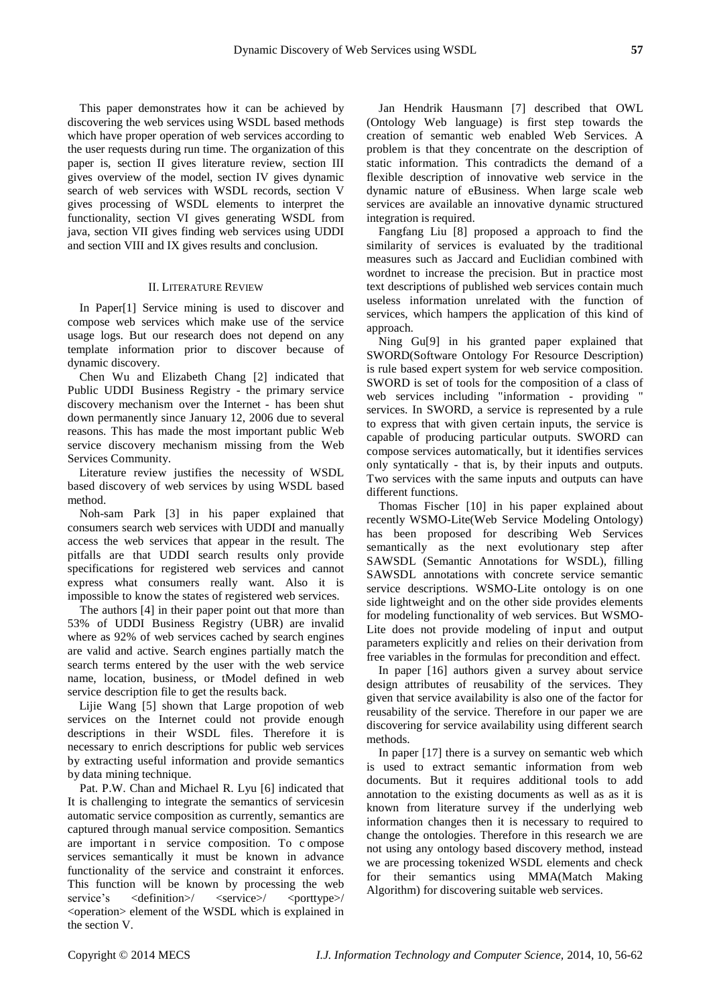This paper demonstrates how it can be achieved by discovering the web services using WSDL based methods which have proper operation of web services according to the user requests during run time. The organization of this paper is, section II gives literature review, section III gives overview of the model, section IV gives dynamic search of web services with WSDL records, section V gives processing of WSDL elements to interpret the functionality, section VI gives generating WSDL from java, section VII gives finding web services using UDDI and section VIII and IX gives results and conclusion.

#### II. LITERATURE REVIEW

In Paper[1] Service mining is used to discover and compose web services which make use of the service usage logs. But our research does not depend on any template information prior to discover because of dynamic discovery.

Chen Wu and Elizabeth Chang [2] indicated that Public UDDI Business Registry - the primary service discovery mechanism over the Internet - has been shut down permanently since January 12, 2006 due to several reasons. This has made the most important public Web service discovery mechanism missing from the Web Services Community.

Literature review justifies the necessity of WSDL based discovery of web services by using WSDL based method.

Noh-sam Park [3] in his paper explained that consumers search web services with UDDI and manually access the web services that appear in the result. The pitfalls are that UDDI search results only provide specifications for registered web services and cannot express what consumers really want. Also it is impossible to know the states of registered web services.

The authors [4] in their paper point out that more than 53% of UDDI Business Registry (UBR) are invalid where as 92% of web services cached by search engines are valid and active. Search engines partially match the search terms entered by the user with the web service name, location, business, or tModel defined in web service description file to get the results back.

Lijie Wang [5] shown that Large propotion of web services on the Internet could not provide enough descriptions in their WSDL files. Therefore it is necessary to enrich descriptions for public web services by extracting useful information and provide semantics by data mining technique.

Pat. P.W. Chan and Michael R. Lyu [6] indicated that It is challenging to integrate the semantics of servicesin automatic service composition as currently, semantics are captured through manual service composition. Semantics are important in service composition. To compose services semantically it must be known in advance functionality of the service and constraint it enforces. This function will be known by processing the web service's <definition>/ <service>/ <porttype>/ <operation> element of the WSDL which is explained in the section V.

Jan Hendrik Hausmann [7] described that OWL (Ontology Web language) is first step towards the creation of semantic web enabled Web Services. A problem is that they concentrate on the description of static information. This contradicts the demand of a flexible description of innovative web service in the dynamic nature of eBusiness. When large scale web services are available an innovative dynamic structured integration is required.

Fangfang Liu [8] proposed a approach to find the similarity of services is evaluated by the traditional measures such as Jaccard and Euclidian combined with wordnet to increase the precision. But in practice most text descriptions of published web services contain much useless information unrelated with the function of services, which hampers the application of this kind of approach.

Ning Gu[9] in his granted paper explained that SWORD(Software Ontology For Resource Description) is rule based expert system for web service composition. SWORD is set of tools for the composition of a class of web services including "information - providing " services. In SWORD, a service is represented by a rule to express that with given certain inputs, the service is capable of producing particular outputs. SWORD can compose services automatically, but it identifies services only syntatically - that is, by their inputs and outputs. Two services with the same inputs and outputs can have different functions.

Thomas Fischer [10] in his paper explained about recently WSMO-Lite(Web Service Modeling Ontology) has been proposed for describing Web Services semantically as the next evolutionary step after SAWSDL (Semantic Annotations for WSDL), filling SAWSDL annotations with concrete service semantic service descriptions. WSMO-Lite ontology is on one side lightweight and on the other side provides elements for modeling functionality of web services. But WSMO-Lite does not provide modeling of input and output parameters explicitly and relies on their derivation from free variables in the formulas for precondition and effect.

In paper [16] authors given a survey about service design attributes of reusability of the services. They given that service availability is also one of the factor for reusability of the service. Therefore in our paper we are discovering for service availability using different search methods.

In paper [17] there is a survey on semantic web which is used to extract semantic information from web documents. But it requires additional tools to add annotation to the existing documents as well as as it is known from literature survey if the underlying web information changes then it is necessary to required to change the ontologies. Therefore in this research we are not using any ontology based discovery method, instead we are processing tokenized WSDL elements and check for their semantics using MMA(Match Making Algorithm) for discovering suitable web services.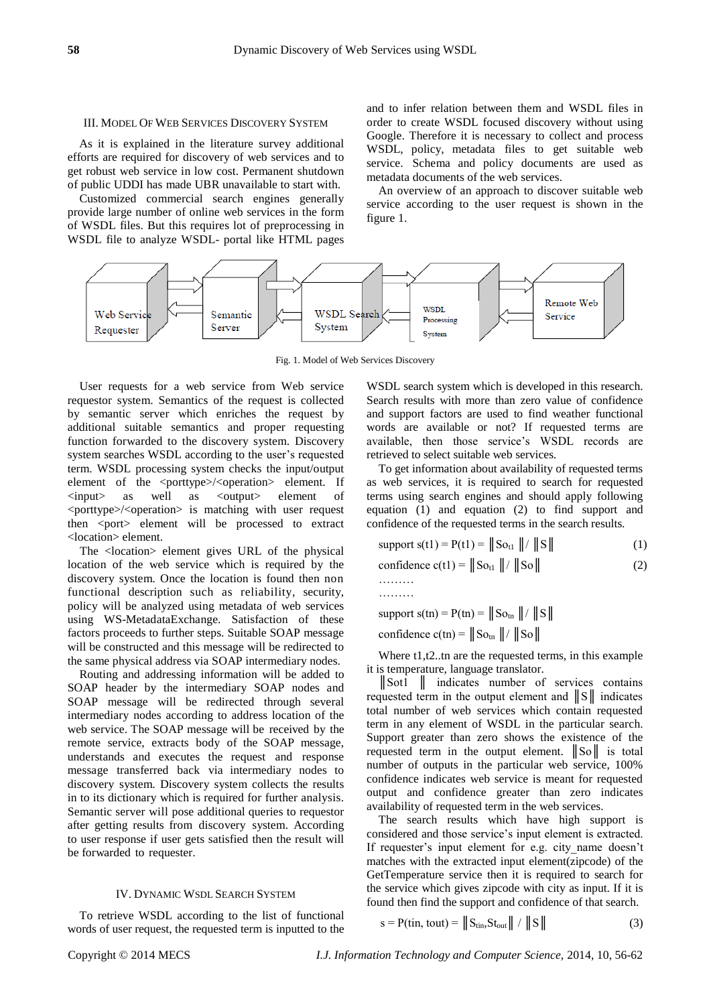#### III. MODEL OF WEB SERVICES DISCOVERY SYSTEM

As it is explained in the literature survey additional efforts are required for discovery of web services and to get robust web service in low cost. Permanent shutdown of public UDDI has made UBR unavailable to start with.

Customized commercial search engines generally provide large number of online web services in the form of WSDL files. But this requires lot of preprocessing in WSDL file to analyze WSDL- portal like HTML pages

and to infer relation between them and WSDL files in order to create WSDL focused discovery without using Google. Therefore it is necessary to collect and process WSDL, policy, metadata files to get suitable web service. Schema and policy documents are used as metadata documents of the web services.

An overview of an approach to discover suitable web service according to the user request is shown in the figure 1.



Fig. 1. Model of Web Services Discovery

User requests for a web service from Web service requestor system. Semantics of the request is collected by semantic server which enriches the request by additional suitable semantics and proper requesting function forwarded to the discovery system. Discovery system searches WSDL according to the user's requested term. WSDL processing system checks the input/output element of the <porttype>/<operation> element. If <input> as well as <output> element of <porttype>/<operation> is matching with user request then <port> element will be processed to extract <location> element.

The <location> element gives URL of the physical location of the web service which is required by the discovery system. Once the location is found then non functional description such as reliability, security, policy will be analyzed using metadata of web services using WS-MetadataExchange. Satisfaction of these factors proceeds to further steps. Suitable SOAP message will be constructed and this message will be redirected to the same physical address via SOAP intermediary nodes.

Routing and addressing information will be added to SOAP header by the intermediary SOAP nodes and SOAP message will be redirected through several intermediary nodes according to address location of the web service. The SOAP message will be received by the remote service, extracts body of the SOAP message, understands and executes the request and response message transferred back via intermediary nodes to discovery system. Discovery system collects the results in to its dictionary which is required for further analysis. Semantic server will pose additional queries to requestor after getting results from discovery system. According to user response if user gets satisfied then the result will be forwarded to requester.

## IV. DYNAMIC WSDL SEARCH SYSTEM

To retrieve WSDL according to the list of functional words of user request, the requested term is inputted to the

WSDL search system which is developed in this research. Search results with more than zero value of confidence and support factors are used to find weather functional words are available or not? If requested terms are available, then those service's WSDL records are retrieved to select suitable web services.

To get information about availability of requested terms as web services, it is required to search for requested terms using search engines and should apply following equation (1) and equation (2) to find support and confidence of the requested terms in the search results.

support s(t1) = P(t1) = 
$$
\|\text{So}_{t1} \| / \| \text{S} \|
$$
 (1)

confidence 
$$
c(t1) = || So_{t1} || / || So||
$$
 (2)

………

support s(tn) =  $P(tn) = || So_{tn} || / || S ||$ 

confidence  $c(tn) = || So_{tn} || / || So||$ 

Where t1, t2..tn are the requested terms, in this example it is temperature, language translator.

║Sot1 ║ indicates number of services contains requested term in the output element and  $\|\mathbf{S}\|$  indicates total number of web services which contain requested term in any element of WSDL in the particular search. Support greater than zero shows the existence of the requested term in the output element. ║So║ is total number of outputs in the particular web service, 100% confidence indicates web service is meant for requested output and confidence greater than zero indicates availability of requested term in the web services.

The search results which have high support is considered and those service's input element is extracted. If requester's input element for e.g. city name doesn't matches with the extracted input element(zipcode) of the GetTemperature service then it is required to search for the service which gives zipcode with city as input. If it is found then find the support and confidence of that search.

$$
s = P(\text{tin, tout}) = ||S_{\text{tin}}S_{\text{tout}}|| / ||S|| \tag{3}
$$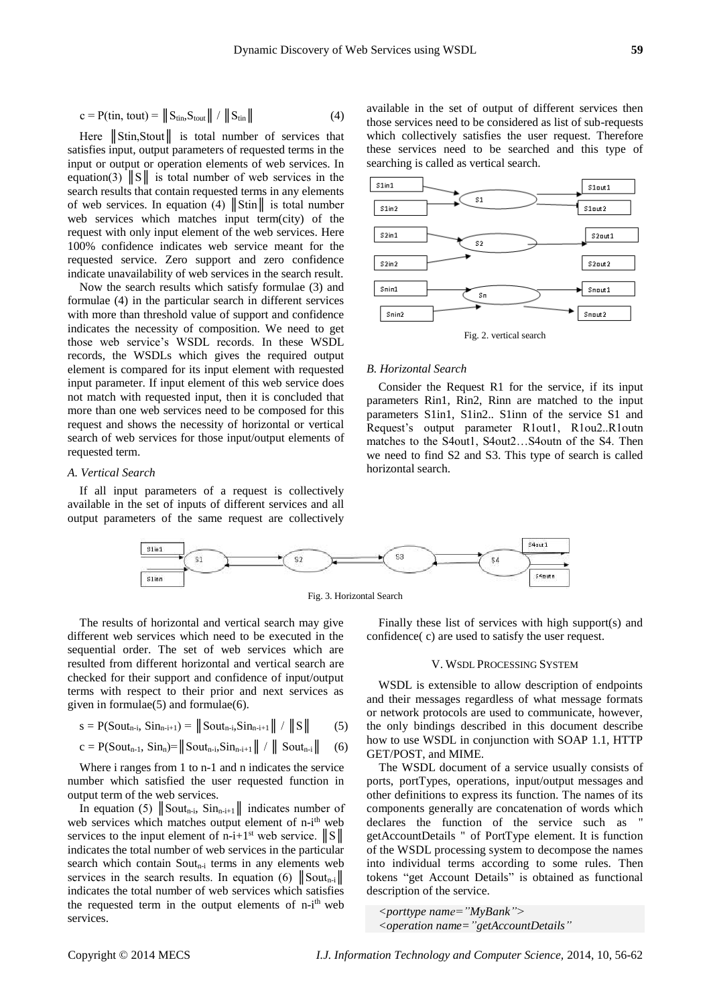$$
c = P(\text{tin, tout}) = ||S_{\text{tin}}S_{\text{tout}}|| / ||S_{\text{tin}}||
$$
 (4)

Here Stin, Stout is total number of services that satisfies input, output parameters of requested terms in the input or output or operation elements of web services. In equation(3)  $\|S\|$  is total number of web services in the search results that contain requested terms in any elements of web services. In equation (4)  $\|\text{Stin}\|$  is total number web services which matches input term(city) of the request with only input element of the web services. Here 100% confidence indicates web service meant for the requested service. Zero support and zero confidence indicate unavailability of web services in the search result.

Now the search results which satisfy formulae (3) and formulae (4) in the particular search in different services with more than threshold value of support and confidence indicates the necessity of composition. We need to get those web service's WSDL records. In these WSDL records, the WSDLs which gives the required output element is compared for its input element with requested input parameter. If input element of this web service does not match with requested input, then it is concluded that more than one web services need to be composed for this request and shows the necessity of horizontal or vertical search of web services for those input/output elements of requested term.

#### *A. Vertical Search*

If all input parameters of a request is collectively available in the set of inputs of different services and all output parameters of the same request are collectively available in the set of output of different services then those services need to be considered as list of sub-requests which collectively satisfies the user request. Therefore these services need to be searched and this type of searching is called as vertical search.



#### *B. Horizontal Search*

Consider the Request R1 for the service, if its input parameters Rin1, Rin2, Rinn are matched to the input parameters S1in1, S1in2.. S1inn of the service S1 and Request's output parameter R1out1, R1ou2..R1outn matches to the S4out1, S4out2...S4outn of the S4. Then we need to find S2 and S3. This type of search is called horizontal search.



The results of horizontal and vertical search may give different web services which need to be executed in the sequential order. The set of web services which are resulted from different horizontal and vertical search are checked for their support and confidence of input/output terms with respect to their prior and next services as given in formulae $(5)$  and formulae $(6)$ .

$$
s = P(Sout_{n-i}, Sin_{n-i+1}) = ||Sout_{n-i}, Sin_{n-i+1} || / ||S||
$$
 (5)

$$
c = P(Sout_{n-1}, Sin_n) = ||Sout_{n-i}, Sin_{n-i+1} || / || Sout_{n-i} ||
$$
 (6)

Where i ranges from 1 to n-1 and n indicates the service number which satisfied the user requested function in output term of the web services.

In equation (5)  $\|\text{Sout}_{n-i}, \text{Sin}_{n-i+1}\|$  indicates number of web services which matches output element of n-i<sup>th</sup> web services to the input element of n-i+1<sup>st</sup> web service.  $||S||$ indicates the total number of web services in the particular search which contain  $South_{n-i}$  terms in any elements web services in the search results. In equation (6)  $\|\text{Sout}_{n-i}\|$ indicates the total number of web services which satisfies the requested term in the output elements of n-i<sup>th</sup> web services.

Finally these list of services with high support(s) and confidence( c) are used to satisfy the user request.

## V. WSDL PROCESSING SYSTEM

WSDL is extensible to allow description of endpoints and their messages regardless of what message formats or network protocols are used to communicate, however, the only bindings described in this document describe how to use WSDL in conjunction with SOAP 1.1, HTTP GET/POST, and MIME.

The WSDL document of a service usually consists of ports, portTypes, operations, input/output messages and other definitions to express its function. The names of its components generally are concatenation of words which declares the function of the service such as " getAccountDetails " of PortType element. It is function of the WSDL processing system to decompose the names into individual terms according to some rules. Then tokens "get Account Details" is obtained as functional description of the service.

*<porttype name="MyBank"> <operation name="getAccountDetails"*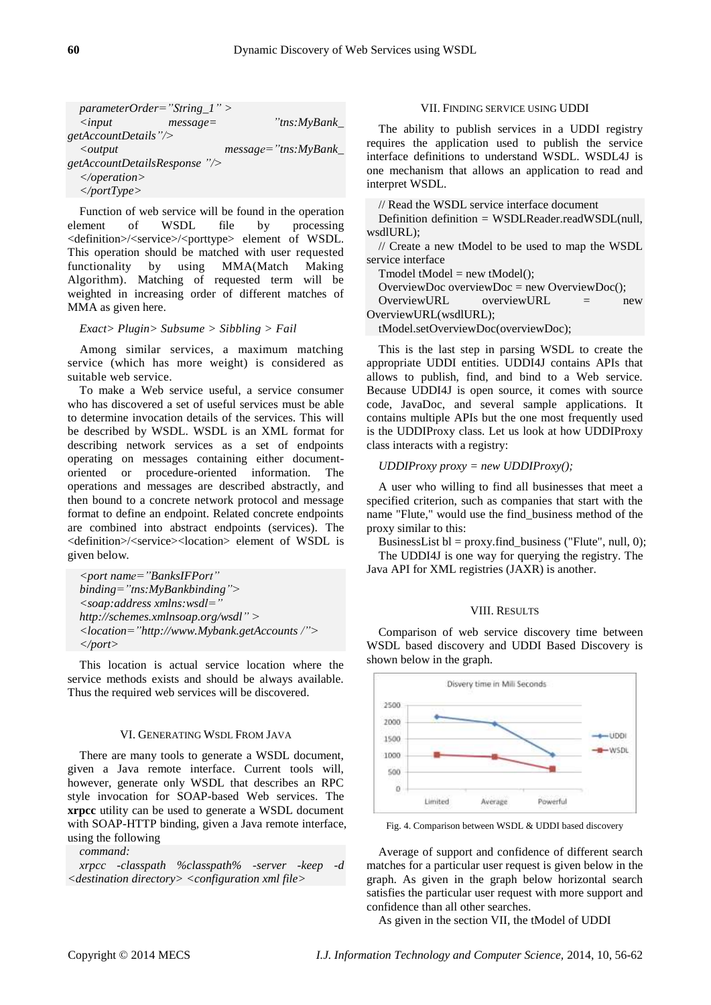| $parameterOrder="String_1"$   |             |                       |
|-------------------------------|-------------|-----------------------|
| $\langle$ <i>input</i>        | $message =$ | "tns:MyBank_          |
| $getAccountDetails$ "/>       |             |                       |
| $\langle$ <i>output</i>       |             | $message="ins:MyBank$ |
| getAccountDetailsResponse "/> |             |                       |
| $\triangle$ /operation>       |             |                       |
| $\langle$ portType>           |             |                       |

Function of web service will be found in the operation element of WSDL file by processing <definition>/<service>/<porttype> element of WSDL. This operation should be matched with user requested functionality by using MMA(Match Making Algorithm). Matching of requested term will be weighted in increasing order of different matches of MMA as given here.

*Exact> Plugin> Subsume > Sibbling > Fail*

Among similar services, a maximum matching service (which has more weight) is considered as suitable web service.

To make a Web service useful, a service consumer who has discovered a set of useful services must be able to determine invocation details of the services. This will be described by WSDL. WSDL is an XML format for describing network services as a set of endpoints operating on messages containing either documentoriented or procedure-oriented information. The operations and messages are described abstractly, and then bound to a concrete network protocol and message format to define an endpoint. Related concrete endpoints are combined into abstract endpoints (services). The <definition>/<service><location> element of WSDL is given below.

*<port name="BanksIFPort" binding="tns:MyBankbinding"> <soap:address xmlns:wsdl=" [http://schemes.xmlnsoap.org/wsdl"](http://schemes.xmlnsoap.org/wsdl) > <locatio[n="http://www.Mybank.getAccounts](file:///C:/Users/sumathi/Downloads/=”http:/www.Mybank.getAccounts) /"> </port>*

This location is actual service location where the service methods exists and should be always available. Thus the required web services will be discovered.

### VI. GENERATING WSDL FROM JAVA

There are many tools to generate a WSDL document, given a Java remote interface. Current tools will, however, generate only WSDL that describes an RPC style invocation for SOAP-based Web services. The **xrpcc** utility can be used to generate a WSDL document with SOAP-HTTP binding, given a Java remote interface, using the following

*command:*

*xrpcc -classpath %classpath% -server -keep -d <destination directory> <configuration xml file>*

## VII. FINDING SERVICE USING UDDI

The ability to publish services in a UDDI registry requires the application used to publish the service interface definitions to understand WSDL. WSDL4J is one mechanism that allows an application to read and interpret WSDL.

// Read the WSDL service interface document

Definition definition = WSDLReader.readWSDL(null, wsdlURL).

// Create a new tModel to be used to map the WSDL service interface

 $Tmodel$  tModel = new tModel();

OverviewDoc overviewDoc = new OverviewDoc $($ );

OverviewURL overviewURL = new OverviewURL(wsdlURL);

tModel.setOverviewDoc(overviewDoc);

This is the last step in parsing WSDL to create the appropriate UDDI entities. UDDI4J contains APIs that allows to publish, find, and bind to a Web service. Because UDDI4J is open source, it comes with source code, JavaDoc, and several sample applications. It contains multiple APIs but the one most frequently used is the UDDIProxy class. Let us look at how UDDIProxy class interacts with a registry:

*UDDIProxy proxy = new UDDIProxy();*

A user who willing to find all businesses that meet a specified criterion, such as companies that start with the name "Flute," would use the find\_business method of the proxy similar to this:

BusinessList  $bl = proxy.find_business$  ("Flute", null, 0);

The UDDI4J is one way for querying the registry. The Java API for XML registries (JAXR) is another.

#### VIII. RESULTS

Comparison of web service discovery time between WSDL based discovery and UDDI Based Discovery is shown below in the graph.



Fig. 4. Comparison between WSDL & UDDI based discovery

Average of support and confidence of different search matches for a particular user request is given below in the graph. As given in the graph below horizontal search satisfies the particular user request with more support and confidence than all other searches.

As given in the section VII, the tModel of UDDI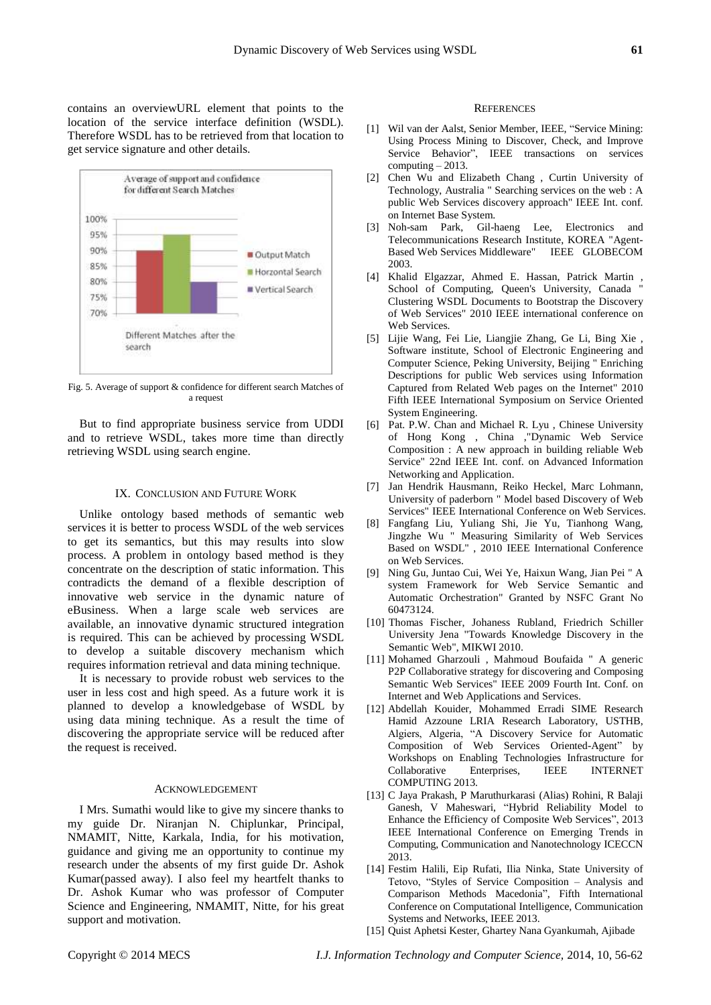contains an overviewURL element that points to the location of the service interface definition (WSDL). Therefore WSDL has to be retrieved from that location to get service signature and other details.



Fig. 5. Average of support & confidence for different search Matches of a request

But to find appropriate business service from UDDI and to retrieve WSDL, takes more time than directly retrieving WSDL using search engine.

#### IX. CONCLUSION AND FUTURE WORK

Unlike ontology based methods of semantic web services it is better to process WSDL of the web services to get its semantics, but this may results into slow process. A problem in ontology based method is they concentrate on the description of static information. This contradicts the demand of a flexible description of innovative web service in the dynamic nature of eBusiness. When a large scale web services are available, an innovative dynamic structured integration is required. This can be achieved by processing WSDL to develop a suitable discovery mechanism which requires information retrieval and data mining technique.

It is necessary to provide robust web services to the user in less cost and high speed. As a future work it is planned to develop a knowledgebase of WSDL by using data mining technique. As a result the time of discovering the appropriate service will be reduced after the request is received.

#### ACKNOWLEDGEMENT

I Mrs. Sumathi would like to give my sincere thanks to my guide Dr. Niranjan N. Chiplunkar, Principal, NMAMIT, Nitte, Karkala, India, for his motivation, guidance and giving me an opportunity to continue my research under the absents of my first guide Dr. Ashok Kumar(passed away). I also feel my heartfelt thanks to Dr. Ashok Kumar who was professor of Computer Science and Engineering, NMAMIT, Nitte, for his great support and motivation.

#### **REFERENCES**

- [1] Wil van der Aalst, Senior Member, IEEE, "Service Mining: Using Process Mining to Discover, Check, and Improve Service Behavior", IEEE transactions on services  $computing - 2013.$
- [2] Chen Wu and Elizabeth Chang , Curtin University of Technology, Australia " Searching services on the web : A public Web Services discovery approach" IEEE Int. conf. on Internet Base System.
- [3] Noh-sam Park, Gil-haeng Lee, Electronics and Telecommunications Research Institute, KOREA "Agent-Based Web Services Middleware" IEEE GLOBECOM 2003.
- [4] Khalid Elgazzar, Ahmed E. Hassan, Patrick Martin , School of Computing, Queen's University, Canada Clustering WSDL Documents to Bootstrap the Discovery of Web Services" 2010 IEEE international conference on Web Services.
- [5] Lijie Wang, Fei Lie, Liangjie Zhang, Ge Li, Bing Xie , Software institute, School of Electronic Engineering and Computer Science, Peking University, Beijing " Enriching Descriptions for public Web services using Information Captured from Related Web pages on the Internet" 2010 Fifth IEEE International Symposium on Service Oriented System Engineering.
- [6] Pat. P.W. Chan and Michael R. Lyu , Chinese University of Hong Kong , China ,"Dynamic Web Service Composition : A new approach in building reliable Web Service" 22nd IEEE Int. conf. on Advanced Information Networking and Application.
- [7] Jan Hendrik Hausmann, Reiko Heckel, Marc Lohmann, University of paderborn " Model based Discovery of Web Services" IEEE International Conference on Web Services.
- [8] Fangfang Liu, Yuliang Shi, Jie Yu, Tianhong Wang, Jingzhe Wu " Measuring Similarity of Web Services Based on WSDL" , 2010 IEEE International Conference on Web Services.
- [9] Ning Gu, Juntao Cui, Wei Ye, Haixun Wang, Jian Pei " A system Framework for Web Service Semantic and Automatic Orchestration" Granted by NSFC Grant No 60473124.
- [10] Thomas Fischer, Johaness Rubland, Friedrich Schiller University Jena "Towards Knowledge Discovery in the Semantic Web", MIKWI 2010.
- [11] Mohamed Gharzouli , Mahmoud Boufaida " A generic P2P Collaborative strategy for discovering and Composing Semantic Web Services" IEEE 2009 Fourth Int. Conf. on Internet and Web Applications and Services.
- [12] Abdellah Kouider, Mohammed Erradi SIME Research Hamid Azzoune LRIA Research Laboratory, USTHB, Algiers, Algeria, "A Discovery Service for Automatic Composition of Web Services Oriented-Agent" by Workshops on Enabling Technologies Infrastructure for Collaborative Enterprises, IEEE INTERNET COMPUTING 2013.
- [13] C Jaya Prakash, P Maruthurkarasi (Alias) Rohini, R Balaji Ganesh, V Maheswari, "Hybrid Reliability Model to Enhance the Efficiency of Composite Web Services", 2013 IEEE International Conference on Emerging Trends in Computing, Communication and Nanotechnology ICECCN 2013.
- [14] Festim Halili, Eip Rufati, Ilia Ninka, State University of Tetovo, "Styles of Service Composition – Analysis and Comparison Methods Macedonia", Fifth International Conference on Computational Intelligence, Communication Systems and Networks, IEEE 2013.
- [15] Quist Aphetsi Kester, Ghartey Nana Gyankumah, Ajibade